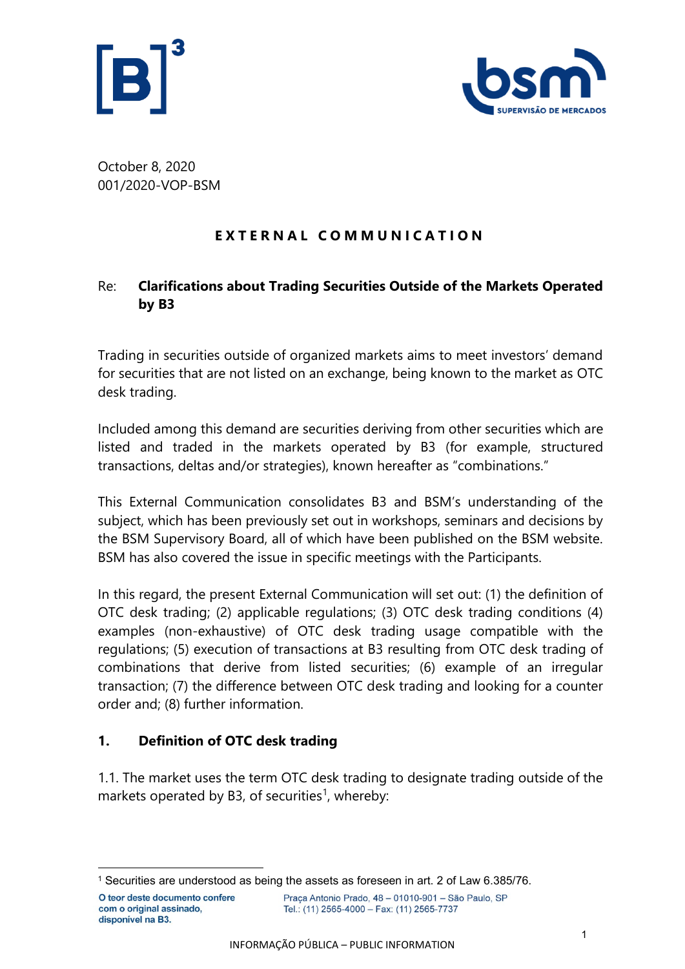



October 8, 2020 001/2020-VOP-BSM

## **E X T E R N A L C O M M U N I C A T I O N**

## Re: **Clarifications about Trading Securities Outside of the Markets Operated by B3**

Trading in securities outside of organized markets aims to meet investors' demand for securities that are not listed on an exchange, being known to the market as OTC desk trading.

Included among this demand are securities deriving from other securities which are listed and traded in the markets operated by B3 (for example, structured transactions, deltas and/or strategies), known hereafter as "combinations."

This External Communication consolidates B3 and BSM's understanding of the subject, which has been previously set out in workshops, seminars and decisions by the BSM Supervisory Board, all of which have been published on the BSM website. BSM has also covered the issue in specific meetings with the Participants.

In this regard, the present External Communication will set out: (1) the definition of OTC desk trading; (2) applicable regulations; (3) OTC desk trading conditions (4) examples (non-exhaustive) of OTC desk trading usage compatible with the regulations; (5) execution of transactions at B3 resulting from OTC desk trading of combinations that derive from listed securities; (6) example of an irregular transaction; (7) the difference between OTC desk trading and looking for a counter order and; (8) further information.

## **1. Definition of OTC desk trading**

1.1. The market uses the term OTC desk trading to designate trading outside of the markets operated by B3, of securities<sup>1</sup>, whereby:

<sup>1</sup> Securities are understood as being the assets as foreseen in art. 2 of Law 6.385/76.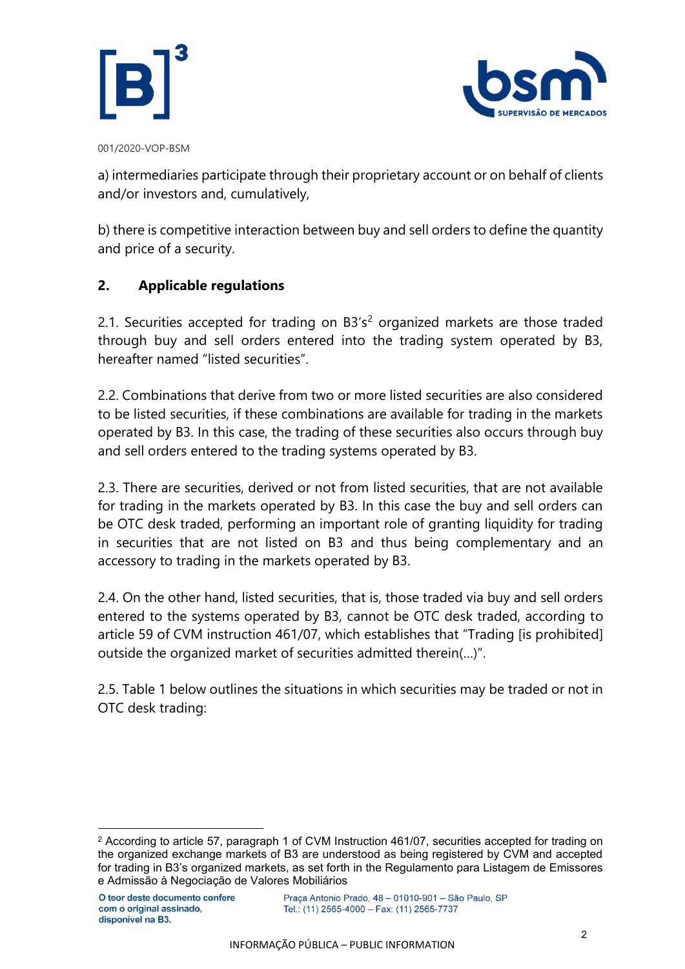



a) intermediaries participate through their proprietary account or on behalf of clients and/or investors and, cumulatively,

b) there is competitive interaction between buy and sell orders to define the quantity and price of a security.

## **2. Applicable regulations**

2.1. Securities accepted for trading on  $B3's^2$  organized markets are those traded through buy and sell orders entered into the trading system operated by B3, hereafter named "listed securities".

2.2. Combinations that derive from two or more listed securities are also considered to be listed securities, if these combinations are available for trading in the markets operated by B3. In this case, the trading of these securities also occurs through buy and sell orders entered to the trading systems operated by B3.

2.3. There are securities, derived or not from listed securities, that are not available for trading in the markets operated by B3. In this case the buy and sell orders can be OTC desk traded, performing an important role of granting liquidity for trading in securities that are not listed on B3 and thus being complementary and an accessory to trading in the markets operated by B3.

2.4. On the other hand, listed securities, that is, those traded via buy and sell orders entered to the systems operated by B3, cannot be OTC desk traded, according to article 59 of CVM instruction 461/07, which establishes that "Trading [is prohibited] outside the organized market of securities admitted therein(…)".

2.5. Table 1 below outlines the situations in which securities may be traded or not in OTC desk trading:

<sup>2</sup> According to article 57, paragraph 1 of CVM Instruction 461/07, securities accepted for trading on the organized exchange markets of B3 are understood as being registered by CVM and accepted for trading in B3's organized markets, as set forth in the Regulamento para Listagem de Emissores e Admissão à Negociação de Valores Mobiliários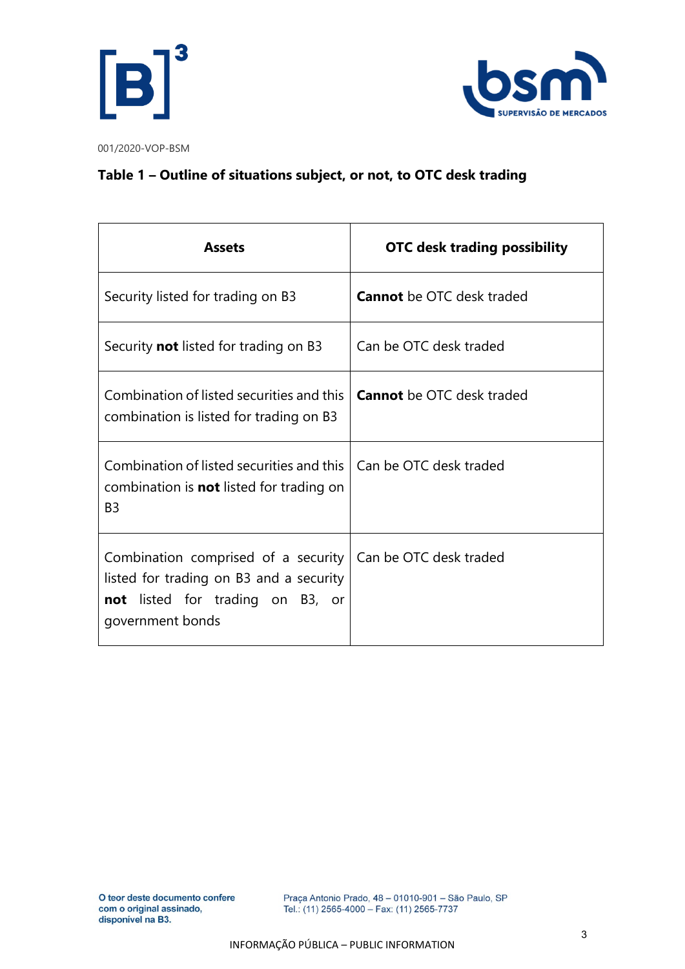



## **Table 1 – Outline of situations subject, or not, to OTC desk trading**

| <b>Assets</b>                                                                                                                                                          | <b>OTC desk trading possibility</b> |  |  |
|------------------------------------------------------------------------------------------------------------------------------------------------------------------------|-------------------------------------|--|--|
| Security listed for trading on B3                                                                                                                                      | <b>Cannot</b> be OTC desk traded    |  |  |
| Security <b>not</b> listed for trading on B3                                                                                                                           | Can be OTC desk traded              |  |  |
| Combination of listed securities and this<br>combination is listed for trading on B3                                                                                   | <b>Cannot</b> be OTC desk traded    |  |  |
| Combination of listed securities and this<br>combination is <b>not</b> listed for trading on<br>B <sub>3</sub>                                                         | Can be OTC desk traded              |  |  |
| Combination comprised of a security   Can be OTC desk traded<br>listed for trading on B3 and a security<br><b>not</b> listed for trading on B3, or<br>government bonds |                                     |  |  |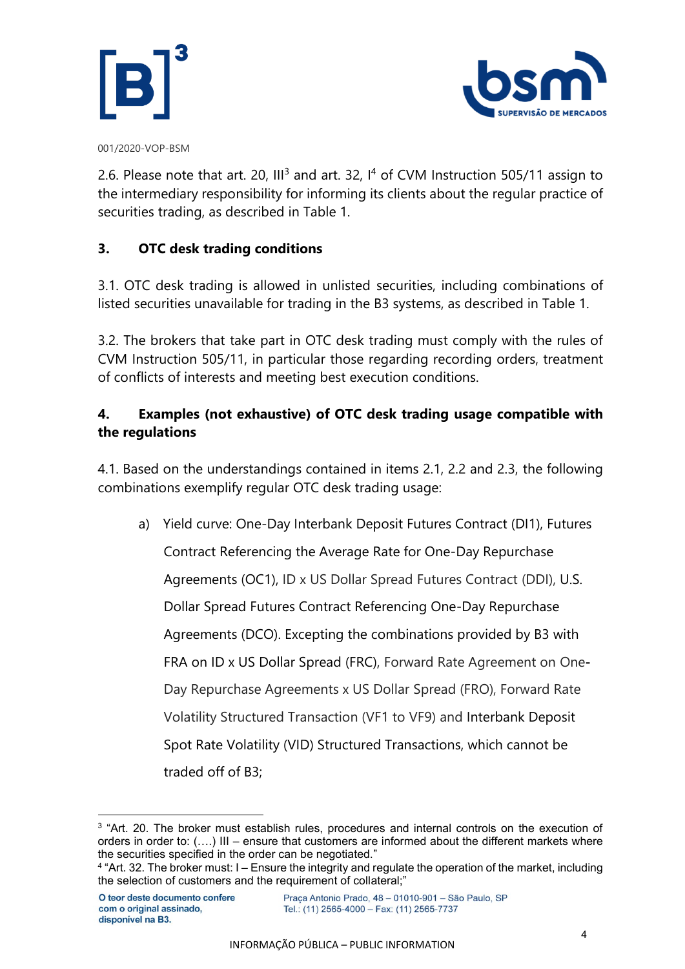



2.6. Please note that art. 20,  $III^3$  and art. 32,  $I^4$  of CVM Instruction 505/11 assign to the intermediary responsibility for informing its clients about the regular practice of securities trading, as described in Table 1.

### **3. OTC desk trading conditions**

3.1. OTC desk trading is allowed in unlisted securities, including combinations of listed securities unavailable for trading in the B3 systems, as described in Table 1.

3.2. The brokers that take part in OTC desk trading must comply with the rules of CVM Instruction 505/11, in particular those regarding recording orders, treatment of conflicts of interests and meeting best execution conditions.

## **4. Examples (not exhaustive) of OTC desk trading usage compatible with the regulations**

4.1. Based on the understandings contained in items 2.1, 2.2 and 2.3, the following combinations exemplify regular OTC desk trading usage:

a) Yield curve: One-Day Interbank Deposit Futures Contract (DI1), Futures Contract Referencing the Average Rate for One-Day Repurchase Agreements (OC1), ID x US Dollar Spread Futures Contract (DDI), U.S. Dollar Spread Futures Contract Referencing One-Day Repurchase Agreements (DCO). Excepting the combinations provided by B3 with FRA on ID x US Dollar Spread (FRC), Forward Rate Agreement on One**-**Day Repurchase Agreements x US Dollar Spread (FRO), Forward Rate Volatility Structured Transaction (VF1 to VF9) and Interbank Deposit Spot Rate Volatility (VID) Structured Transactions, which cannot be traded off of B3;

<sup>&</sup>lt;sup>3</sup> "Art. 20. The broker must establish rules, procedures and internal controls on the execution of orders in order to: (….) III – ensure that customers are informed about the different markets where the securities specified in the order can be negotiated."

<sup>4</sup> "Art. 32. The broker must: I – Ensure the integrity and regulate the operation of the market, including the selection of customers and the requirement of collateral;"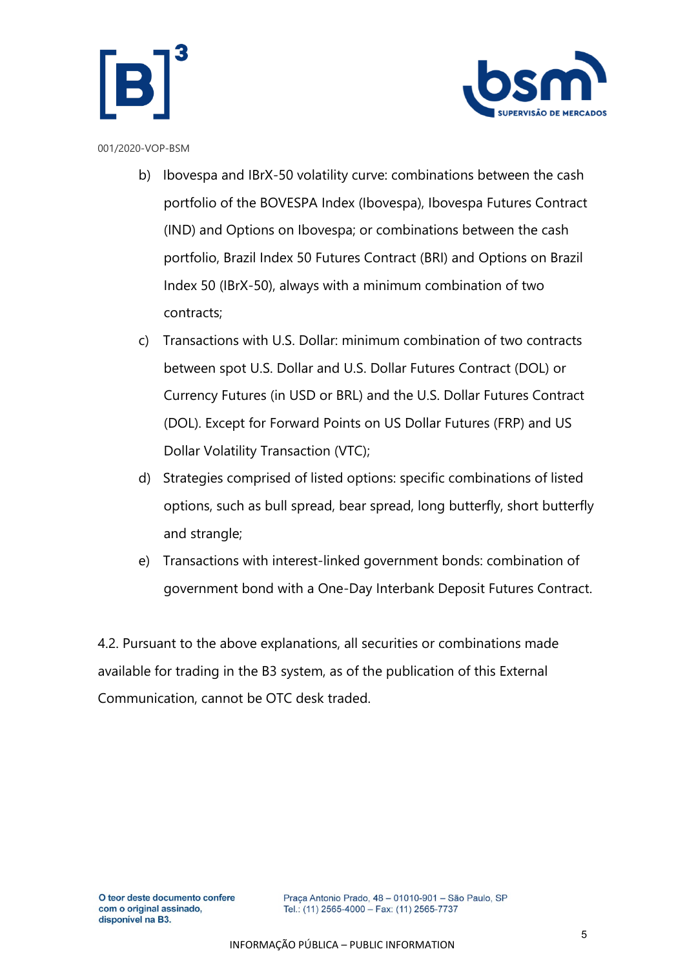



- b) Ibovespa and IBrX-50 volatility curve: combinations between the cash portfolio of the BOVESPA Index (Ibovespa), Ibovespa Futures Contract (IND) and Options on Ibovespa; or combinations between the cash portfolio, Brazil Index 50 Futures Contract (BRI) and Options on Brazil Index 50 (IBrX-50), always with a minimum combination of two contracts;
- c) Transactions with U.S. Dollar: minimum combination of two contracts between spot U.S. Dollar and U.S. Dollar Futures Contract (DOL) or Currency Futures (in USD or BRL) and the U.S. Dollar Futures Contract (DOL). Except for Forward Points on US Dollar Futures (FRP) and US Dollar Volatility Transaction (VTC);
- d) Strategies comprised of listed options: specific combinations of listed options, such as bull spread, bear spread, long butterfly, short butterfly and strangle;
- e) Transactions with interest-linked government bonds: combination of government bond with a One-Day Interbank Deposit Futures Contract.

4.2. Pursuant to the above explanations, all securities or combinations made available for trading in the B3 system, as of the publication of this External Communication, cannot be OTC desk traded.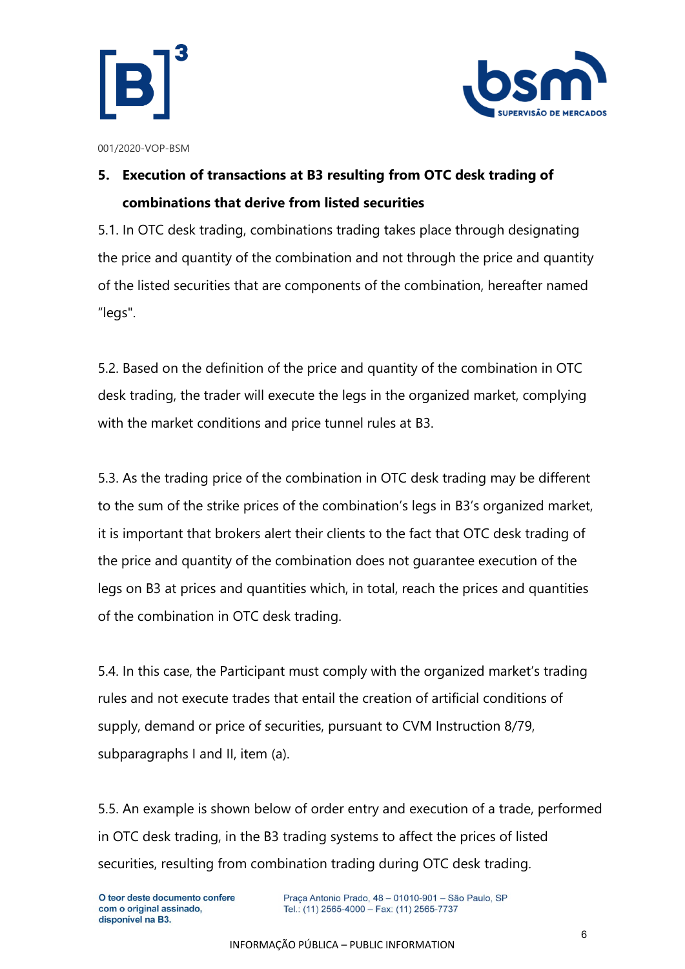



# **5. Execution of transactions at B3 resulting from OTC desk trading of combinations that derive from listed securities**

5.1. In OTC desk trading, combinations trading takes place through designating the price and quantity of the combination and not through the price and quantity of the listed securities that are components of the combination, hereafter named "legs".

5.2. Based on the definition of the price and quantity of the combination in OTC desk trading, the trader will execute the legs in the organized market, complying with the market conditions and price tunnel rules at B3.

5.3. As the trading price of the combination in OTC desk trading may be different to the sum of the strike prices of the combination's legs in B3's organized market, it is important that brokers alert their clients to the fact that OTC desk trading of the price and quantity of the combination does not guarantee execution of the legs on B3 at prices and quantities which, in total, reach the prices and quantities of the combination in OTC desk trading.

5.4. In this case, the Participant must comply with the organized market's trading rules and not execute trades that entail the creation of artificial conditions of supply, demand or price of securities, pursuant to CVM Instruction 8/79, subparagraphs I and II, item (a).

5.5. An example is shown below of order entry and execution of a trade, performed in OTC desk trading, in the B3 trading systems to affect the prices of listed securities, resulting from combination trading during OTC desk trading.

Praça Antonio Prado, 48 - 01010-901 - São Paulo, SP Tel.: (11) 2565-4000 - Fax: (11) 2565-7737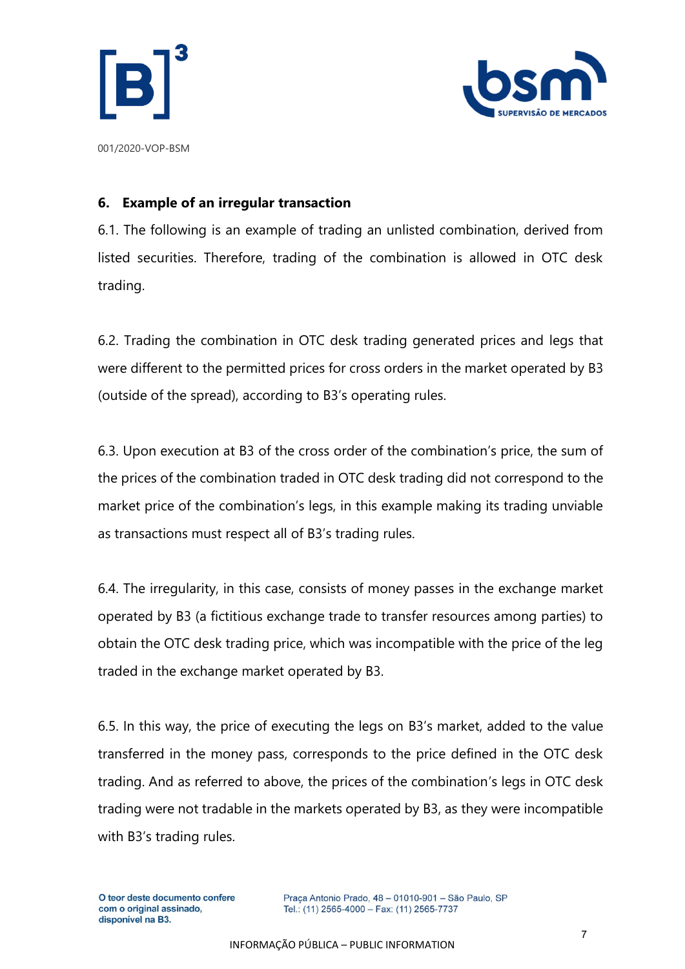



**6. Example of an irregular transaction**

6.1. The following is an example of trading an unlisted combination, derived from listed securities. Therefore, trading of the combination is allowed in OTC desk trading.

6.2. Trading the combination in OTC desk trading generated prices and legs that were different to the permitted prices for cross orders in the market operated by B3 (outside of the spread), according to B3's operating rules.

6.3. Upon execution at B3 of the cross order of the combination's price, the sum of the prices of the combination traded in OTC desk trading did not correspond to the market price of the combination's legs, in this example making its trading unviable as transactions must respect all of B3's trading rules.

6.4. The irregularity, in this case, consists of money passes in the exchange market operated by B3 (a fictitious exchange trade to transfer resources among parties) to obtain the OTC desk trading price, which was incompatible with the price of the leg traded in the exchange market operated by B3.

6.5. In this way, the price of executing the legs on B3's market, added to the value transferred in the money pass, corresponds to the price defined in the OTC desk trading. And as referred to above, the prices of the combination's legs in OTC desk trading were not tradable in the markets operated by B3, as they were incompatible with B3's trading rules.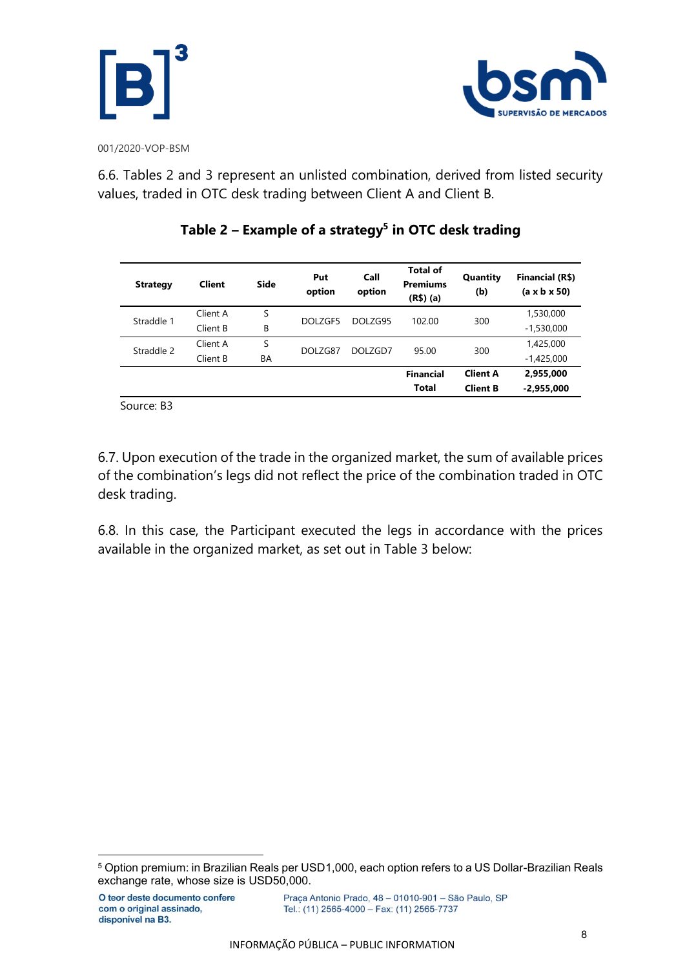



6.6. Tables 2 and 3 represent an unlisted combination, derived from listed security values, traded in OTC desk trading between Client A and Client B.

| <b>Strategy</b> | <b>Client</b> | Side | Put<br>option | Call<br>option | <b>Total of</b><br><b>Premiums</b><br>$(R$)$ (a) | Quantity<br>(b) | Financial (R\$)<br>$(a \times b \times 50)$ |
|-----------------|---------------|------|---------------|----------------|--------------------------------------------------|-----------------|---------------------------------------------|
| Straddle 1      | Client A      | S    | DOLZGF5       | DOLZG95        | 102.00                                           | 300             | 1,530,000                                   |
|                 | Client B      | В    |               |                |                                                  |                 | $-1,530,000$                                |
| Straddle 2      | Client A      | S    | DOLZG87       | DOLZGD7        | 95.00                                            | 300             | 1,425,000                                   |
|                 | Client B      | BA   |               |                |                                                  |                 | $-1,425,000$                                |
|                 |               |      |               |                | <b>Financial</b>                                 | <b>Client A</b> | 2,955,000                                   |
|                 |               |      |               |                | <b>Total</b>                                     | <b>Client B</b> | $-2,955,000$                                |

## **Table 2 – Example of a strategy<sup>5</sup> in OTC desk trading**

Source: B3

6.7. Upon execution of the trade in the organized market, the sum of available prices of the combination's legs did not reflect the price of the combination traded in OTC desk trading.

6.8. In this case, the Participant executed the legs in accordance with the prices available in the organized market, as set out in Table 3 below:

<sup>5</sup> Option premium: in Brazilian Reals per USD1,000, each option refers to a US Dollar-Brazilian Reals exchange rate, whose size is USD50,000.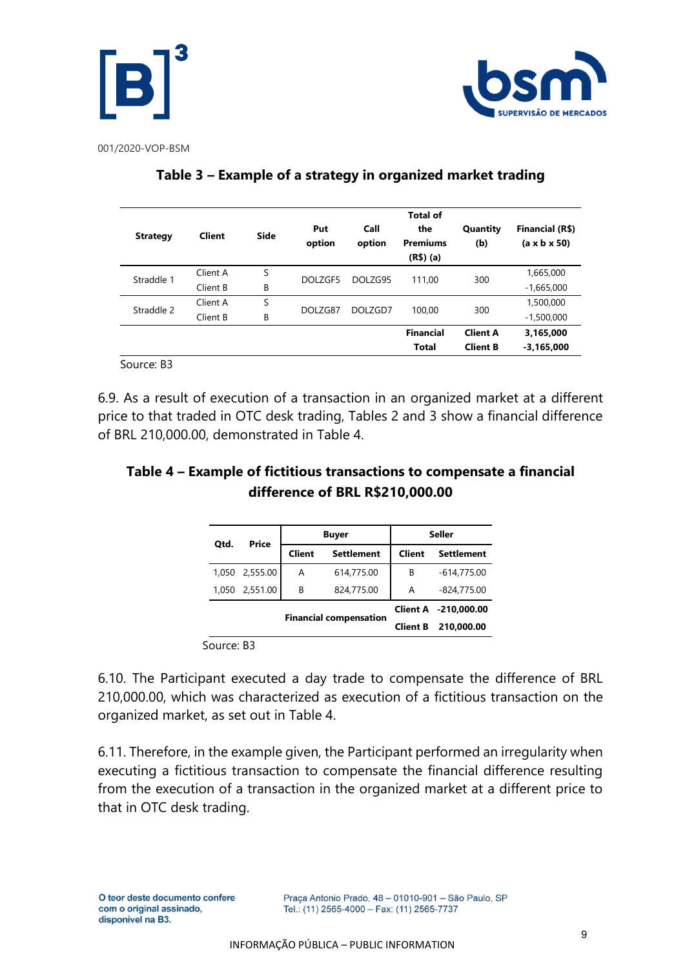



| <b>Strategy</b> | <b>Client</b>            | Side    | Put<br>option | Call<br>option    | <b>Total of</b><br>the<br><b>Premiums</b><br>$(R$)$ (a) | Quantity<br>(b) | Financial (R\$)<br>$(a \times b \times 50)$ |
|-----------------|--------------------------|---------|---------------|-------------------|---------------------------------------------------------|-----------------|---------------------------------------------|
| Straddle 1      | Client A                 | S       | DOLZGF5       | DOLZG95<br>111.00 |                                                         | 300             | 1,665,000                                   |
|                 | Client B                 | B       |               |                   |                                                         | $-1,665,000$    |                                             |
| Straddle 2      | S<br>Client A<br>DOLZG87 | DOLZGD7 | 100,00        | 300               | 1,500,000                                               |                 |                                             |
|                 | Client B                 | B       |               |                   |                                                         |                 | $-1,500,000$                                |
|                 |                          |         |               |                   | <b>Financial</b>                                        | <b>Client A</b> | 3,165,000                                   |
|                 |                          |         |               |                   | <b>Total</b>                                            | <b>Client B</b> | $-3,165,000$                                |

### **Table 3 – Example of a strategy in organized market trading**

Source: B3

6.9. As a result of execution of a transaction in an organized market at a different price to that traded in OTC desk trading, Tables 2 and 3 show a financial difference of BRL 210,000.00, demonstrated in Table 4.

## **Table 4 – Example of fictitious transactions to compensate a financial difference of BRL R\$210,000.00**

| Price<br>Otd.                 |               | <b>Buyer</b>    | <b>Seller</b>     |                      |                   |
|-------------------------------|---------------|-----------------|-------------------|----------------------|-------------------|
|                               | <b>Client</b> |                 | <b>Settlement</b> | Client               | <b>Settlement</b> |
| 1.050                         | 2,555.00      | A               | 614,775.00        | В                    | $-614,775.00$     |
| 1.050                         | 2,551.00      | В               | 824,775.00        | A                    | $-824,775.00$     |
|                               |               |                 |                   | Client A -210.000.00 |                   |
| <b>Financial compensation</b> |               | <b>Client B</b> | 210,000.00        |                      |                   |

Source: B3

6.10. The Participant executed a day trade to compensate the difference of BRL 210,000.00, which was characterized as execution of a fictitious transaction on the organized market, as set out in Table 4.

6.11. Therefore, in the example given, the Participant performed an irregularity when executing a fictitious transaction to compensate the financial difference resulting from the execution of a transaction in the organized market at a different price to that in OTC desk trading.